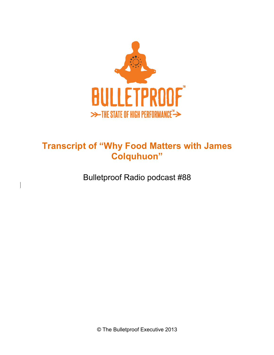

## **Transcript of "Why Food Matters with James Colquhuon"**

Bulletproof Radio podcast #88

 $\overline{\phantom{a}}$ 

© The Bulletproof Executive 2013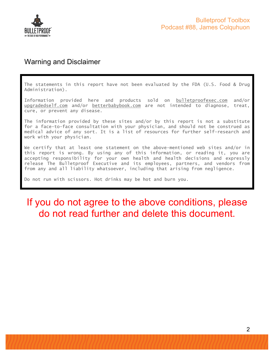

### Warning and Disclaimer

The statements in this report have not been evaluated by the FDA (U.S. Food & Drug Administration).

Information provided here and products sold on bulletproofexec.com and/or upgradedself.com and/or betterbabybook.com are not intended to diagnose, treat, cure, or prevent any disease.

The information provided by these sites and/or by this report is not a substitute for a face-to-face consultation with your physician, and should not be construed as medical advice of any sort. It is a list of resources for further self-research and work with your physician.

We certify that at least one statement on the above-mentioned web sites and/or in this report is wrong. By using any of this information, or reading it, you are accepting responsibility for your own health and health decisions and expressly release The Bulletproof Executive and its employees, partners, and vendors from from any and all liability whatsoever, including that arising from negligence.

Do not run with scissors. Hot drinks may be hot and burn you.

# If you do not agree to the above conditions, please do not read further and delete this document.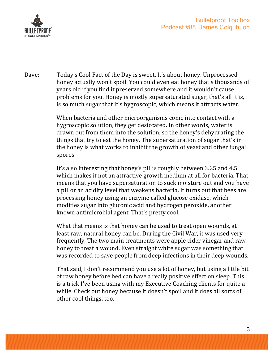

Dave: Today's Cool Fact of the Day is sweet. It's about honey. Unprocessed honey actually won't spoil. You could even eat honey that's thousands of years old if you find it preserved somewhere and it wouldn't cause problems for you. Honey is mostly supersaturated sugar, that's all it is, is so much sugar that it's hygroscopic, which means it attracts water.

> When bacteria and other microorganisms come into contact with a hygroscopic solution, they get desiccated. In other words, water is drawn out from them into the solution, so the honey's dehydrating the things that try to eat the honey. The supersaturation of sugar that's in the honey is what works to inhibit the growth of yeast and other fungal spores.

It's also interesting that honey's pH is roughly between 3.25 and 4.5, which makes it not an attractive growth medium at all for bacteria. That means that you have supersaturation to suck moisture out and you have a pH or an acidity level that weakens bacteria. It turns out that bees are processing honey using an enzyme called glucose oxidase, which modifies sugar into gluconic acid and hydrogen peroxide, another known antimicrobial agent. That's pretty cool.

What that means is that honey can be used to treat open wounds, at least raw, natural honey can be. During the Civil War, it was used very frequently. The two main treatments were apple cider vinegar and raw honey to treat a wound. Even straight white sugar was something that was recorded to save people from deep infections in their deep wounds.

That said, I don't recommend you use a lot of honey, but using a little bit of raw honey before bed can have a really positive effect on sleep. This is a trick I've been using with my Executive Coaching clients for quite a while. Check out honey because it doesn't spoil and it does all sorts of other cool things, too.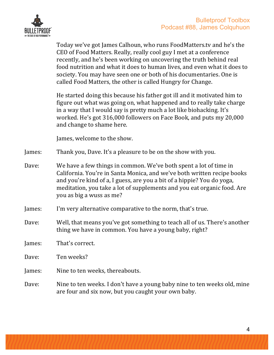

Today we've got James Calhoun, who runs FoodMatters.tv and he's the CEO of Food Matters. Really, really cool guy I met at a conference recently, and he's been working on uncovering the truth behind real food nutrition and what it does to human lives, and even what it does to society. You may have seen one or both of his documentaries. One is called Food Matters, the other is called Hungry for Change.

He started doing this because his father got ill and it motivated him to figure out what was going on, what happened and to really take charge in a way that I would say is pretty much a lot like biohacking. It's worked. He's got 316,000 followers on Face Book, and puts my 20,000 and change to shame here.

James, welcome to the show.

James: Thank you, Dave. It's a pleasure to be on the show with you.

- Dave: We have a few things in common. We've both spent a lot of time in California. You're in Santa Monica, and we've both written recipe books and you're kind of a, I guess, are you a bit of a hippie? You do yoga, meditation, you take a lot of supplements and you eat organic food. Are you as big a wuss as me?
- James: I'm very alternative comparative to the norm, that's true.
- Dave: Well, that means you've got something to teach all of us. There's another thing we have in common. You have a young baby, right?

lames: That's correct.

Dave: Ten weeks?

James: Nine to ten weeks, thereabouts.

Dave: Nine to ten weeks. I don't have a young baby nine to ten weeks old, mine are four and six now, but you caught your own baby.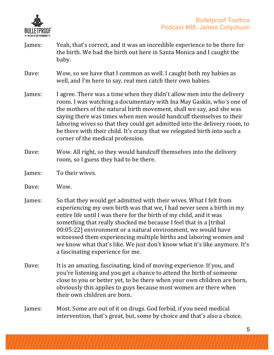

- James: Yeah, that's correct, and it was an incredible experience to be there for the birth. We had the birth out here in Santa Monica and I caught the baby.
- Dave: Wow, so we have that I common as well. I caught both my babies as well, and I'm here to say, real men catch their own babies.
- James: I agree. There was a time when they didn't allow men into the delivery room. I was watching a documentary with Ina May Gaskin, who's one of the mothers of the natural birth movement, shall we say, and she was saying there was times when men would handcuff themselves to their laboring wives so that they could get admitted into the delivery room, to be there with their child. It's crazy that we relegated birth into such a corner of the medical profession.
- Dave: Wow. All right, so they would handcuff themselves into the delivery room, so I guess they had to be there.
- James: To their wives.
- Dave: Wow.
- James: So that they would get admitted with their wives. What I felt from experiencing my own birth was that we, I had never seen a birth in my entire life until I was there for the birth of my child, and it was something that really shocked me because I feel that in a [tribal] 00:05:22] environment or a natural environment, we would have witnessed them experiencing multiple births and laboring women and we know what that's like. We just don't know what it's like anymore. It's a fascinating experience for me.
- Dave: It is an amazing, fascinating, kind of moving experience. If you, and you're listening and you get a chance to attend the birth of someone close to you or better yet, to be there when your own children are born, obviously this applies to guys because most women are there when their own children are born.
- James: Most. Some are out of it on drugs. God forbid, if you need medical intervention, that's great, but, some by choice and that's also a choice.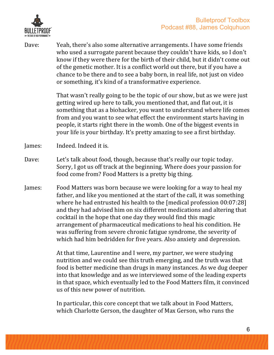

Dave: Yeah, there's also some alternative arrangements. I have some friends who used a surrogate parent because they couldn't have kids, so I don't know if they were there for the birth of their child, but it didn't come out of the genetic mother. It is a conflict world out there, but if you have a chance to be there and to see a baby born, in real life, not just on video or something, it's kind of a transformative experience.

> That wasn't really going to be the topic of our show, but as we were just getting wired up here to talk, you mentioned that, and flat out, it is something that as a biohacker, you want to understand where life comes from and you want to see what effect the environment starts having in people, it starts right there in the womb. One of the biggest events in your life is your birthday. It's pretty amazing to see a first birthday.

- James: Indeed. Indeed it is.
- Dave: Let's talk about food, though, because that's really our topic today. Sorry, I got us off track at the beginning. Where does your passion for food come from? Food Matters is a pretty big thing.
- James: Food Matters was born because we were looking for a way to heal my father, and like you mentioned at the start of the call, it was something where he had entrusted his health to the [medical profession  $00:07:28$ ] and they had advised him on six different medications and altering that cocktail in the hope that one day they would find this magic arrangement of pharmaceutical medications to heal his condition. He was suffering from severe chronic fatigue syndrome, the severity of which had him bedridden for five years. Also anxiety and depression.

At that time, Laurentine and I were, my partner, we were studying nutrition and we could see this truth emerging, and the truth was that food is better medicine than drugs in many instances. As we dug deeper into that knowledge and as we interviewed some of the leading experts in that space, which eventually led to the Food Matters film, it convinced us of this new power of nutrition.

In particular, this core concept that we talk about in Food Matters, which Charlotte Gerson, the daughter of Max Gerson, who runs the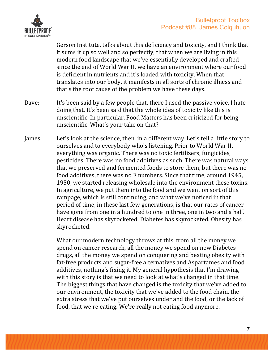

Gerson Institute, talks about this deficiency and toxicity, and I think that it sums it up so well and so perfectly, that when we are living in this modern food landscape that we've essentially developed and crafted since the end of World War II, we have an environment where our food is deficient in nutrients and it's loaded with toxicity. When that translates into our body, it manifests in all sorts of chronic illness and that's the root cause of the problem we have these days.

- Dave: It's been said by a few people that, there I used the passive voice, I hate doing that. It's been said that the whole idea of toxicity like this is unscientific. In particular, Food Matters has been criticized for being unscientific. What's your take on that?
- James: Let's look at the science, then, in a different way. Let's tell a little story to ourselves and to everybody who's listening. Prior to World War II, everything was organic. There was no toxic fertilizers, fungicides, pesticides. There was no food additives as such. There was natural ways that we preserved and fermented foods to store them, but there was no food additives, there was no E numbers. Since that time, around 1945, 1950, we started releasing wholesale into the environment these toxins. In agriculture, we put them into the food and we went on sort of this rampage, which is still continuing, and what we've noticed in that period of time, in these last few generations, is that our rates of cancer have gone from one in a hundred to one in three, one in two and a half. Heart disease has skyrocketed. Diabetes has skyrocketed. Obesity has skyrocketed.

What our modern technology throws at this, from all the money we spend on cancer research, all the money we spend on new Diabetes drugs, all the money we spend on conquering and beating obesity with fat-free products and sugar-free alternatives and Aspartames and food additives, nothing's fixing it. My general hypothesis that I'm drawing with this story is that we need to look at what's changed in that time. The biggest things that have changed is the toxicity that we've added to our environment, the toxicity that we've added to the food chain, the extra stress that we've put ourselves under and the food, or the lack of food, that we're eating. We're really not eating food anymore.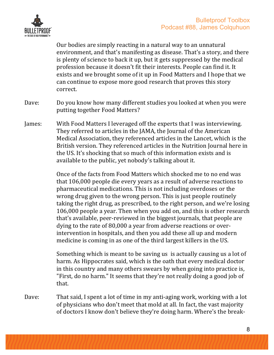



Our bodies are simply reacting in a natural way to an unnatural environment, and that's manifesting as disease. That's a story, and there is plenty of science to back it up, but it gets suppressed by the medical profession because it doesn't fit their interests. People can find it. It exists and we brought some of it up in Food Matters and I hope that we can continue to expose more good research that proves this story correct.

- Dave: Do you know how many different studies you looked at when you were putting together Food Matters?
- James: With Food Matters I leveraged off the experts that I was interviewing. They referred to articles in the JAMA, the Journal of the American Medical Association, they referenced articles in the Lancet, which is the British version. They referenced articles in the Nutrition Journal here in the US. It's shocking that so much of this information exists and is available to the public, yet nobody's talking about it.

Once of the facts from Food Matters which shocked me to no end was that 106,000 people die every years as a result of adverse reactions to pharmaceutical medications. This is not including overdoses or the wrong drug given to the wrong person. This is just people routinely taking the right drug, as prescribed, to the right person, and we're losing 106,000 people a year. Then when you add on, and this is other research that's available, peer-reviewed in the biggest journals, that people are dying to the rate of  $80,000$  a year from adverse reactions or overintervention in hospitals, and then you add these all up and modern medicine is coming in as one of the third largest killers in the US.

Something which is meant to be saving us is actually causing us a lot of harm. As Hippocrates said, which is the oath that every medical doctor in this country and many others swears by when going into practice is, "First, do no harm." It seems that they're not really doing a good job of that.

Dave: That said, I spent a lot of time in my anti-aging work, working with a lot of physicians who don't meet that mold at all. In fact, the vast majority of doctors I know don't believe they're doing harm. Where's the break-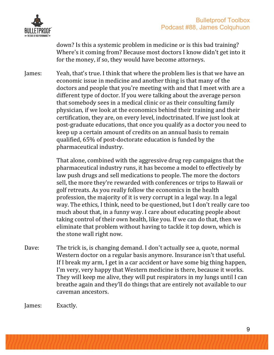

down? Is this a systemic problem in medicine or is this bad training? Where's it coming from? Because most doctors I know didn't get into it for the money, if so, they would have become attorneys.

James: Yeah, that's true. I think that where the problem lies is that we have an economic issue in medicine and another thing is that many of the doctors and people that you're meeting with and that I meet with are a different type of doctor. If you were talking about the average person that somebody sees in a medical clinic or as their consulting family physician, if we look at the economics behind their training and their certification, they are, on every level, indoctrinated. If we just look at post-graduate educations, that once you qualify as a doctor you need to keep up a certain amount of credits on an annual basis to remain qualified, 65% of post-doctorate education is funded by the pharmaceutical industry.

> That alone, combined with the aggressive drug rep campaigns that the pharmaceutical industry runs, it has become a model to effectively by law push drugs and sell medications to people. The more the doctors sell, the more they're rewarded with conferences or trips to Hawaii or golf retreats. As you really follow the economics in the health profession, the majority of it is very corrupt in a legal way. In a legal way. The ethics, I think, need to be questioned, but I don't really care too much about that, in a funny way. I care about educating people about taking control of their own health, like you. If we can do that, then we eliminate that problem without having to tackle it top down, which is the stone wall right now.

Dave: The trick is, is changing demand. I don't actually see a, quote, normal Western doctor on a regular basis anymore. Insurance isn't that useful. If I break my arm, I get in a car accident or have some big thing happen, I'm very, very happy that Western medicine is there, because it works. They will keep me alive, they will put respirators in my lungs until I can breathe again and they'll do things that are entirely not available to our caveman ancestors.

James: Exactly.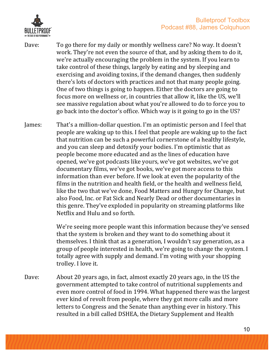

- Dave: To go there for my daily or monthly wellness care? No way. It doesn't work. They're not even the source of that, and by asking them to do it, we're actually encouraging the problem in the system. If you learn to take control of these things, largely by eating and by sleeping and exercising and avoiding toxins, if the demand changes, then suddenly there's lots of doctors with practices and not that many people going. One of two things is going to happen. Either the doctors are going to focus more on wellness or, in countries that allow it, like the US, we'll see massive regulation about what you're allowed to do to force you to go back into the doctor's office. Which way is it going to go in the US?
- James: That's a million-dollar question. I'm an optimistic person and I feel that people are waking up to this. I feel that people are waking up to the fact that nutrition can be such a powerful cornerstone of a healthy lifestyle, and you can sleep and detoxify your bodies. I'm optimistic that as people become more educated and as the lines of education have opened, we've got podcasts like yours, we've got websites, we've got documentary films, we've got books, we've got more access to this information than ever before. If we look at even the popularity of the films in the nutrition and health field, or the health and wellness field, like the two that we've done, Food Matters and Hungry for Change, but also Food, Inc. or Fat Sick and Nearly Dead or other documentaries in this genre. They've exploded in popularity on streaming platforms like Netflix and Hulu and so forth.

We're seeing more people want this information because they've sensed that the system is broken and they want to do something about it themselves. I think that as a generation, I wouldn't say generation, as a group of people interested in health, we're going to change the system. I totally agree with supply and demand. I'm voting with your shopping trolley. I love it.

Dave: About 20 years ago, in fact, almost exactly 20 years ago, in the US the government attempted to take control of nutritional supplements and even more control of food in 1994. What happened there was the largest ever kind of revolt from people, where they got more calls and more letters to Congress and the Senate than anything ever in history. This resulted in a bill called DSHEA, the Dietary Supplement and Health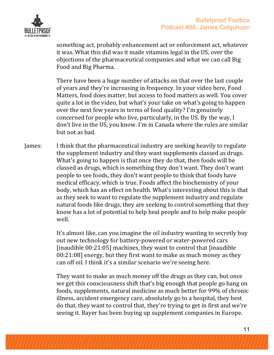

something act, probably enhancement act or enforcement act, whatever it was. What this did was it made vitamins legal in the US, over the objections of the pharmaceutical companies and what we can call Big Food and Big Pharma.

There have been a huge number of attacks on that over the last couple of years and they're increasing in frequency. In your video here, Food Matters, food does matter, but access to food matters as well. You cover quite a lot in the video, but what's your take on what's going to happen over the next few years in terms of food quality? I'm genuinely concerned for people who live, particularly, in the US. By the way, I don't live in the US, you know. I'm in Canada where the rules are similar but not as had.

James: I think that the pharmaceutical industry are seeking heavily to regulate the supplement industry and they want supplements classed as drugs. What's going to happen is that once they do that, then foods will be classed as drugs, which is something they don't want. They don't want people to see foods, they don't want people to think that foods have medical efficacy, which is true. Foods affect the biochemistry of your body, which has an effect on health. What's interesting about this is that as they seek to want to regulate the supplement industry and regulate natural foods like drugs, they are seeking to control something that they know has a lot of potential to help heal people and to help make people well.

> It's almost like, can you imagine the oil industry wanting to secretly buy out new technology for battery-powered or water-powered cars [inaudible  $00:21:05$ ] machines, they want to control that [inaudible  $00:21:08$ ] energy, but they first want to make as much money as they can off oil. I think it's a similar scenario we're seeing here.

> They want to make as much money off the drugs as they can, but once we get this consciousness shift that's big enough that people go hang on foods, supplements, natural medicine as much better for 99% of chronic illness, accident emergency care, absolutely go to a hospital, they best do that, they want to control that, they're trying to get in first and we're seeing it. Bayer has been buying up supplement companies in Europe.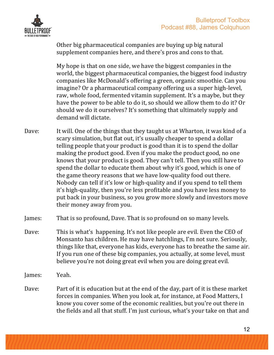

Other big pharmaceutical companies are buying up big natural supplement companies here, and there's pros and cons to that.

My hope is that on one side, we have the biggest companies in the world, the biggest pharmaceutical companies, the biggest food industry companies like McDonald's offering a green, organic smoothie. Can you imagine? Or a pharmaceutical company offering us a super high-level, raw, whole food, fermented vitamin supplement. It's a maybe, but they have the power to be able to do it, so should we allow them to do it? Or should we do it ourselves? It's something that ultimately supply and demand will dictate.

- Dave: It will. One of the things that they taught us at Wharton, it was kind of a scary simulation, but flat out, it's usually cheaper to spend a dollar telling people that your product is good than it is to spend the dollar making the product good. Even if you make the product good, no one knows that your product is good. They can't tell. Then you still have to spend the dollar to educate them about why it's good, which is one of the game theory reasons that we have low-quality food out there. Nobody can tell if it's low or high-quality and if you spend to tell them it's high-quality, then you're less profitable and you have less money to put back in your business, so you grow more slowly and investors move their money away from you.
- James: That is so profound, Dave. That is so profound on so many levels.
- Dave: This is what's happening. It's not like people are evil. Even the CEO of Monsanto has children. He may have hatchlings, I'm not sure. Seriously, things like that, everyone has kids, everyone has to breathe the same air. If you run one of these big companies, you actually, at some level, must believe you're not doing great evil when you are doing great evil.
- James: Yeah.
- Dave: Part of it is education but at the end of the day, part of it is these market forces in companies. When you look at, for instance, at Food Matters, I know you cover some of the economic realities, but you're out there in the fields and all that stuff. I'm just curious, what's your take on that and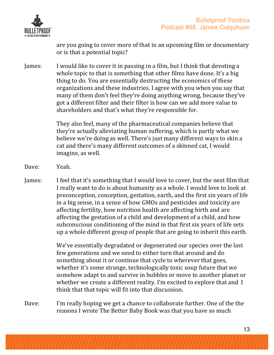

are you going to cover more of that in an upcoming film or documentary or is that a potential topic?

James: I would like to cover it in passing in a film, but I think that devoting a whole topic to that is something that other films have done. It's a big thing to do. You are essentially destructing the economics of these organizations and these industries. I agree with you when you say that many of them don't feel they're doing anything wrong, because they've got a different filter and their filter is how can we add more value to shareholders and that's what they're responsible for.

> They also feel, many of the pharmaceutical companies believe that they're actually alleviating human suffering, which is partly what we believe we're doing as well. There's just many different ways to skin a cat and there's many different outcomes of a skinned cat, I would imagine, as well.

Dave: Yeah.

James: I feel that it's something that I would love to cover, but the next film that I really want to do is about humanity as a whole. I would love to look at preconception, conception, gestation, earth, and the first six years of life in a big sense, in a sense of how GMOs and pesticides and toxicity are affecting fertility, how nutrition health are affecting birth and are affecting the gestation of a child and development of a child, and how subconscious conditioning of the mind in that first six years of life sets up a whole different group of people that are going to inherit this earth.

> We've essentially degradated or degenerated our species over the last few generations and we need to either turn that around and do something about it or continue that cycle to wherever that goes, whether it's some strange, technologically toxic soup future that we somehow adapt to and survive in bubbles or move to another planet or whether we create a different reality. I'm excited to explore that and I think that that topic will fit into that discussion.

Dave: I'm really hoping we get a chance to collaborate further. One of the the reasons I wrote The Better Baby Book was that you have so much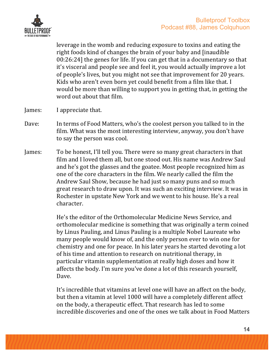

leverage in the womb and reducing exposure to toxins and eating the right foods kind of changes the brain of your baby and [inaudible  $00:26:24$ ] the genes for life. If you can get that in a documentary so that it's visceral and people see and feel it, you would actually improve a lot of people's lives, but you might not see that improvement for 20 years. Kids who aren't even born yet could benefit from a film like that. I would be more than willing to support you in getting that, in getting the word out about that film.

- James: I appreciate that.
- Dave: In terms of Food Matters, who's the coolest person you talked to in the film. What was the most interesting interview, anyway, you don't have to say the person was cool.
- James: To be honest, I'll tell you. There were so many great characters in that film and I loved them all, but one stood out. His name was Andrew Saul and he's got the glasses and the goatee. Most people recognized him as one of the core characters in the film. We nearly called the film the Andrew Saul Show, because he had just so many puns and so much great research to draw upon. It was such an exciting interview. It was in Rochester in upstate New York and we went to his house. He's a real character.

He's the editor of the Orthomolecular Medicine News Service, and orthomolecular medicine is something that was originally a term coined by Linus Pauling, and Linus Pauling is a multiple Nobel Laureate who many people would know of, and the only person ever to win one for chemistry and one for peace. In his later years he started devoting a lot of his time and attention to research on nutritional therapy, in particular vitamin supplementation at really high doses and how it affects the body. I'm sure you've done a lot of this research yourself, Dave.

It's incredible that vitamins at level one will have an affect on the body, but then a vitamin at level 1000 will have a completely different affect on the body, a therapeutic effect. That research has led to some incredible discoveries and one of the ones we talk about in Food Matters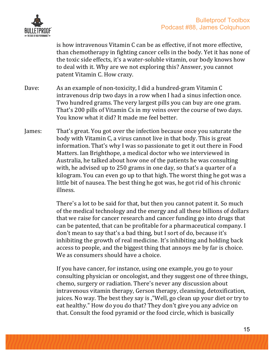

is how intravenous Vitamin C can be as effective, if not more effective, than chemotherapy in fighting cancer cells in the body. Yet it has none of the toxic side effects, it's a water-soluble vitamin, our body knows how to deal with it. Why are we not exploring this? Answer, you cannot patent Vitamin C. How crazy.

- Dave: As an example of non-toxicity, I did a hundred-gram Vitamin C intravenous drip two days in a row when I had a sinus infection once. Two hundred grams. The very largest pills you can buy are one gram. That's 200 pills of Vitamin Cs in my veins over the course of two days. You know what it did? It made me feel better.
- James: That's great. You got over the infection because once you saturate the body with Vitamin C, a virus cannot live in that body. This is great information. That's why I was so passionate to get it out there in Food Matters. Ian Brighthope, a medical doctor who we interviewed in Australia, he talked about how one of the patients he was consulting with, he advised up to  $250$  grams in one day, so that's a quarter of a kilogram. You can even go up to that high. The worst thing he got was a little bit of nausea. The best thing he got was, he got rid of his chronic illness.

There's a lot to be said for that, but then you cannot patent it. So much of the medical technology and the energy and all these billions of dollars that we raise for cancer research and cancer funding go into drugs that can be patented, that can be profitable for a pharmaceutical company. I don't mean to say that's a bad thing, but I sort of do, because it's inhibiting the growth of real medicine. It's inhibiting and holding back access to people, and the biggest thing that annoys me by far is choice. We as consumers should have a choice.

If you have cancer, for instance, using one example, you go to your consulting physician or oncologist, and they suggest one of three things, chemo, surgery or radiation. There's never any discussion about intravenous vitamin therapy, Gerson therapy, cleansing, detoxification, juices. No way. The best they say is, "Well, go clean up your diet or try to eat healthy." How do you do that? They don't give you any advice on that. Consult the food pyramid or the food circle, which is basically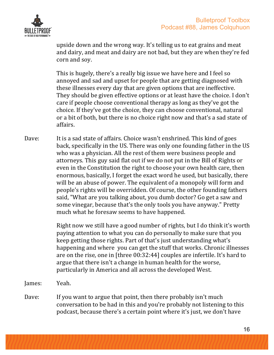

upside down and the wrong way. It's telling us to eat grains and meat and dairy, and meat and dairy are not bad, but they are when they're fed corn and soy.

This is hugely, there's a really big issue we have here and I feel so annoyed and sad and upset for people that are getting diagnosed with these illnesses every day that are given options that are ineffective. They should be given effective options or at least have the choice. I don't care if people choose conventional therapy as long as they've got the choice. If they've got the choice, they can choose conventional, natural or a bit of both, but there is no choice right now and that's a sad state of affairs.

Dave: It is a sad state of affairs. Choice wasn't enshrined. This kind of goes back, specifically in the US. There was only one founding father in the US who was a physician. All the rest of them were business people and attorneys. This guy said flat out if we do not put in the Bill of Rights or even in the Constitution the right to choose your own health care, then enormous, basically, I forget the exact word he used, but basically, there will be an abuse of power. The equivalent of a monopoly will form and people's rights will be overridden. Of course, the other founding fathers said, "What are you talking about, you dumb doctor? Go get a saw and some vinegar, because that's the only tools you have anyway." Pretty much what he foresaw seems to have happened.

> Right now we still have a good number of rights, but I do think it's worth paying attention to what you can do personally to make sure that you keep getting those rights. Part of that's just understanding what's happening and where you can get the stuff that works. Chronic illnesses are on the rise, one in [three 00:32:44] couples are infertile. It's hard to argue that there isn't a change in human health for the worse, particularly in America and all across the developed West.

James: Yeah.

Dave: If you want to argue that point, then there probably isn't much conversation to be had in this and you're probably not listening to this podcast, because there's a certain point where it's just, we don't have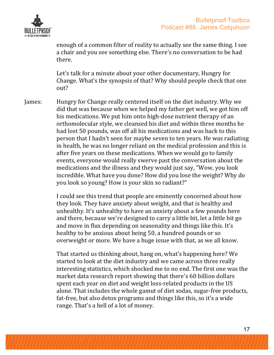

enough of a common filter of reality to actually see the same thing. I see a chair and you see something else. There's no conversation to be had there.

Let's talk for a minute about your other documentary, Hungry for Change. What's the synopsis of that? Why should people check that one out?

James: Hungry for Change really centered itself on the diet industry. Why we did that was because when we helped my father get well, we got him off his medications. We put him onto high-dose nutrient therapy of an orthomolecular style, we cleansed his diet and within three months he had lost 50 pounds, was off all his medications and was back to this person that I hadn't seen for maybe seven to ten years. He was radiating in health, he was no longer reliant on the medical profession and this is after five years on these medications. When we would go to family events, everyone would really swerve past the conversation about the medications and the illness and they would just say, "Wow, you look incredible. What have you done? How did you lose the weight? Why do you look so young? How is your skin so radiant?"

> I could see this trend that people are eminently concerned about how they look. They have anxiety about weight, and that is healthy and unhealthy. It's unhealthy to have an anxiety about a few pounds here and there, because we're designed to carry a little bit, let a little bit go and move in flux depending on seasonality and things like this. It's healthy to be anxious about being 50, a hundred pounds or so overweight or more. We have a huge issue with that, as we all know.

That started us thinking about, hang on, what's happening here? We started to look at the diet industry and we came across three really interesting statistics, which shocked me to no end. The first one was the market data research report showing that there's 60 billion dollars spent each year on diet and weight loss-related products in the US alone. That includes the whole gamut of diet sodas, sugar-free products, fat-free, but also detox programs and things like this, so it's a wide range. That's a hell of a lot of money.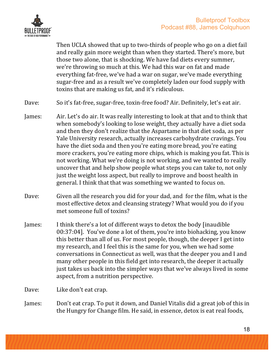

Then UCLA showed that up to two-thirds of people who go on a diet fail and really gain more weight than when they started. There's more, but those two alone, that is shocking. We have fad diets every summer, we're throwing so much at this. We had this war on fat and made everything fat-free, we've had a war on sugar, we've made everything sugar-free and as a result we've completely laden our food supply with toxins that are making us fat, and it's ridiculous.

Dave: So it's fat-free, sugar-free, toxin-free food? Air. Definitely, let's eat air.

- James: Air. Let's do air. It was really interesting to look at that and to think that when somebody's looking to lose weight, they actually have a diet soda and then they don't realize that the Aspartame in that diet soda, as per Yale University research, actually increases carbohydrate cravings. You have the diet soda and then you're eating more bread, you're eating more crackers, you're eating more chips, which is making you fat. This is not working. What we're doing is not working, and we wanted to really uncover that and help show people what steps you can take to, not only just the weight loss aspect, but really to improve and boost health in general. I think that that was something we wanted to focus on.
- Dave: Given all the research you did for your dad, and for the film, what is the most effective detox and cleansing strategy? What would you do if you met someone full of toxins?
- James: I think there's a lot of different ways to detox the body [inaudible  $00:37:04$ ]. You've done a lot of them, you're into biohacking, you know this better than all of us. For most people, though, the deeper I get into my research, and I feel this is the same for you, when we had some conversations in Connecticut as well, was that the deeper you and I and many other people in this field get into research, the deeper it actually just takes us back into the simpler ways that we've always lived in some aspect, from a nutrition perspective.

Dave: Like don't eat crap.

James: Don't eat crap. To put it down, and Daniel Vitalis did a great job of this in the Hungry for Change film. He said, in essence, detox is eat real foods,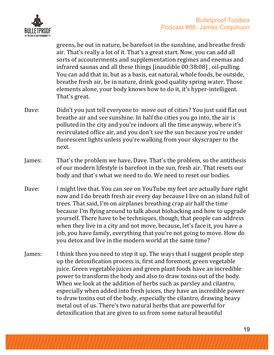

greens, be out in nature, be barefoot in the sunshine, and breathe fresh air. That's really a lot of it. That's a great start. Now, you can add all sorts of accouterments and supplementation regimes and enemas and infrared saunas and all these things  $\left[$ inaudible 00:38:08 $\right]$ , oil-pulling. You can add that in, but as a basis, eat natural, whole foods, be outside, breathe fresh air, be in nature, drink good quality spring water. Those elements alone, your body knows how to do it, it's hyper-intelligent. That's great.

- Dave: Didn't you just tell everyone to move out of cities? You just said flat out breathe air and see sunshine. In half the cities you go into, the air is polluted in the city and you're indoors all the time anyway, where it's recirculated office air, and you don't see the sun because you're under fluorescent lights unless you're walking from your skyscraper to the next.
- James: That's the problem we have, Dave. That's the problem, so the antithesis of our modern lifestyle is barefoot in the sun, fresh air. That resets our body and that's what we need to do. We need to reset our bodies.
- Dave: I might live that. You can see on YouTube my feet are actually bare right now and I do breath fresh air every day because I live on an island full of trees. That said, I'm on airplanes breathing crap air half the time because I'm flying around to talk about biohacking and how to upgrade yourself. There have to be techniques, though, that people can address when they live in a city and not move, because, let's face it, you have a job, you have family, everything that you're not going to move. How do you detox and live in the modern world at the same time?
- James: I think then you need to step it up. The ways that I suggest people step up the detoxification process is, first and foremost, green vegetable juice. Green vegetable juices and green plant foods have an incredible power to transform the body and also to draw toxins out of the body. When we look at the addition of herbs such as parsley and cilantro, especially when added into fresh juices, they have an incredible power to draw toxins out of the body, especially the cilantro, drawing heavy metal out of us. There's two natural herbs that are powerful for detoxification that are given to us from some natural beautiful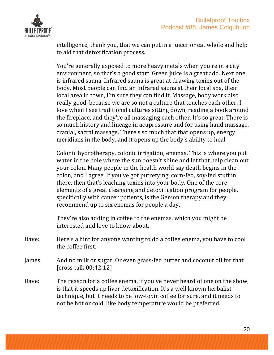

intelligence, thank you, that we can put in a juicer or eat whole and help to aid that detoxification process.

You're generally exposed to more heavy metals when you're in a city environment, so that's a good start. Green juice is a great add. Next one is infrared sauna. Infrared sauna is great at drawing toxins out of the body. Most people can find an infrared sauna at their local spa, their local area in town, I'm sure they can find it. Massage, body work also really good, because we are so not a culture that touches each other. I love when I see traditional cultures sitting down, reading a book around the fireplace, and they're all massaging each other. It's so great. There is so much history and lineage in acupressure and for using hand massage, cranial, sacral massage. There's so much that that opens up, energy meridians in the body, and it opens up the body's ability to heal.

Colonic hydrotherapy, colonic irrigation, enemas. This is where you put water in the hole where the sun doesn't shine and let that help clean out your colon. Many people in the health world say death begins in the colon, and I agree. If you've got putrefying, corn-fed, soy-fed stuff in there, then that's leaching toxins into your body. One of the core elements of a great cleansing and detoxification program for people, specifically with cancer patients, is the Gerson therapy and they recommend up to six enemas for people a day.

They're also adding in coffee to the enemas, which you might be interested and love to know about.

- Dave: Here's a hint for anyone wanting to do a coffee enema, you have to cool the coffee first.
- James: And no milk or sugar. Or even grass-fed butter and coconut oil for that [ $\text{cross talk } 00:42:12$ ]
- Dave: The reason for a coffee enema, if you've never heard of one on the show, is that it speeds up liver detoxification. It's a well known herbalist technique, but it needs to be low-toxin coffee for sure, and it needs to not be hot or cold, like body temperature would be preferred.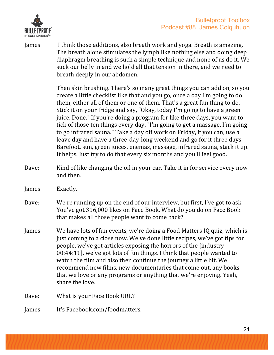

James: I think those additions, also breath work and yoga. Breath is amazing. The breath alone stimulates the lymph like nothing else and doing deep diaphragm breathing is such a simple technique and none of us do it. We suck our belly in and we hold all that tension in there, and we need to breath deeply in our abdomen.

> Then skin brushing. There's so many great things you can add on, so you create a little checklist like that and you go, once a day I'm going to do them, either all of them or one of them. That's a great fun thing to do. Stick it on your fridge and say, "Okay, today I'm going to have a green juice. Done." If you're doing a program for like three days, you want to tick of those ten things every day, "I'm going to get a massage, I'm going to go infrared sauna." Take a day off work on Friday, if you can, use a leave day and have a three-day-long weekend and go for it three days. Barefoot, sun, green juices, enemas, massage, infrared sauna, stack it up. It helps. Just try to do that every six months and you'll feel good.

- Dave: Kind of like changing the oil in your car. Take it in for service every now and then.
- James: Exactly.
- Dave: We're running up on the end of our interview, but first, I've got to ask. You've got 316,000 likes on Face Book. What do you do on Face Book that makes all those people want to come back?
- James: We have lots of fun events, we're doing a Food Matters IQ quiz, which is just coming to a close now. We've done little recipes, we've got tips for people, we've got articles exposing the horrors of the [industry  $00:44:11$ ], we've got lots of fun things. I think that people wanted to watch the film and also then continue the journey a little bit. We recommend new films, new documentaries that come out, any books that we love or any programs or anything that we're enjoying. Yeah, share the love.
- Dave: What is your Face Book URL?
- James: It's Facebook.com/foodmatters.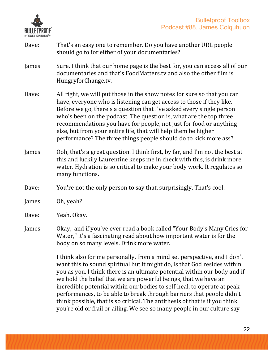

- Dave: That's an easy one to remember. Do you have another URL people should go to for either of your documentaries?
- James: Sure. I think that our home page is the best for, you can access all of our documentaries and that's FoodMatters.tv and also the other film is HungryforChange.tv.
- Dave: All right, we will put those in the show notes for sure so that you can have, everyone who is listening can get access to those if they like. Before we go, there's a question that I've asked every single person who's been on the podcast. The question is, what are the top three recommendations you have for people, not just for food or anything else, but from your entire life, that will help them be higher performance? The three things people should do to kick more ass?
- James: Ooh, that's a great question. I think first, by far, and I'm not the best at this and luckily Laurentine keeps me in check with this, is drink more water. Hydration is so critical to make your body work. It regulates so many functions.
- Dave: You're not the only person to say that, surprisingly. That's cool.
- James: Oh, yeah?
- Dave: Yeah. Okay.
- James: Okay, and if you've ever read a book called "Your Body's Many Cries for Water," it's a fascinating read about how important water is for the body on so many levels. Drink more water.

I think also for me personally, from a mind set perspective, and I don't want this to sound spiritual but it might do, is that God resides within you as you. I think there is an ultimate potential within our body and if we hold the belief that we are powerful beings, that we have an incredible potential within our bodies to self-heal, to operate at peak performances, to be able to break through barriers that people didn't think possible, that is so critical. The antithesis of that is if you think you're old or frail or ailing. We see so many people in our culture say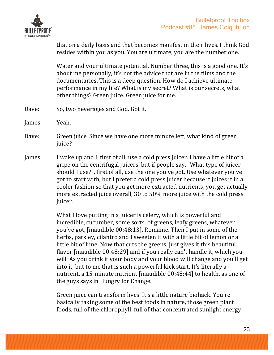

that on a daily basis and that becomes manifest in their lives. I think God resides within you as you. You are ultimate, you are the number one.

Water and your ultimate potential. Number three, this is a good one. It's about me personally, it's not the advice that are in the films and the documentaries. This is a deep question. How do I achieve ultimate performance in my life? What is my secret? What is our secrets, what other things? Green juice. Green juice for me.

- Dave: So, two beverages and God. Got it.
- James: Yeah.
- Dave: Green juice. Since we have one more minute left, what kind of green juice?
- James: I wake up and I, first of all, use a cold press juicer. I have a little bit of a gripe on the centrifugal juicers, but if people say, "What type of juicer should I use?", first of all, use the one you've got. Use whatever you've got to start with, but I prefer a cold press juicer because it juices it in a cooler fashion so that you get more extracted nutrients, you get actually more extracted juice overall, 30 to 50% more juice with the cold press juicer.

What I love putting in a juicer is celery, which is powerful and incredible, cucumber, some sorts of greens, leafy greens, whatever you've got, [inaudible 00:48:13], Romaine. Then I put in some of the herbs, parsley, cilantro and I sweeten it with a little bit of lemon or a little bit of lime. Now that cuts the greens, just gives it this beautiful flavor [inaudible 00:48:29] and if you really can't handle it, which you will. As you drink it your body and your blood will change and you'll get into it, but to me that is such a powerful kick start. It's literally a nutrient, a 15-minute nutrient [inaudible 00:48:44] to health, as one of the guys says in Hungry for Change.

Green juice can transform lives. It's a little nature biohack. You're basically taking some of the best foods in nature, those green plant foods, full of the chlorophyll, full of that concentrated sunlight energy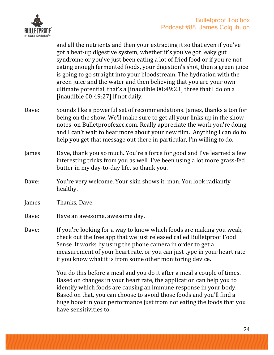

and all the nutrients and then your extracting it so that even if you've got a beat-up digestive system, whether it's you've got leaky gut syndrome or you've just been eating a lot of fried food or if you're not eating enough fermented foods, your digestion's shot, then a green juice is going to go straight into your bloodstream. The hydration with the green juice and the water and then believing that you are your own ultimate potential, that's a [inaudible  $00:49:23$ ] three that I do on a [inaudible  $00:49:27$ ] if not daily.

- Dave: Sounds like a powerful set of recommendations. James, thanks a ton for being on the show. We'll make sure to get all your links up in the show notes on Bulletproofexec.com. Really appreciate the work you're doing and I can't wait to hear more about your new film. Anything I can do to help you get that message out there in particular, I'm willing to do.
- James: Dave, thank you so much. You're a force for good and I've learned a few interesting tricks from you as well. I've been using a lot more grass-fed butter in my day-to-day life, so thank you.
- Dave: You're very welcome. Your skin shows it, man. You look radiantly healthy.
- James: Thanks, Dave.
- Dave: Have an awesome, awesome day.
- Dave: If you're looking for a way to know which foods are making you weak, check out the free app that we just released called Bulletproof Food Sense. It works by using the phone camera in order to get a measurement of your heart rate, or you can just type in your heart rate if you know what it is from some other monitoring device.

You do this before a meal and you do it after a meal a couple of times. Based on changes in your heart rate, the application can help you to identify which foods are causing an immune response in your body. Based on that, you can choose to avoid those foods and you'll find a huge boost in your performance just from not eating the foods that you have sensitivities to.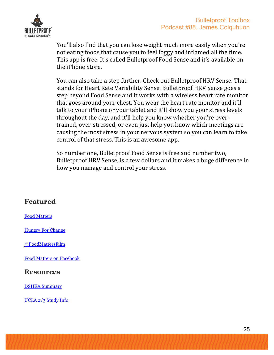

You'll also find that you can lose weight much more easily when you're not eating foods that cause you to feel foggy and inflamed all the time. This app is free. It's called Bulletproof Food Sense and it's available on the iPhone Store.

You can also take a step further. Check out Bulletproof HRV Sense. That stands for Heart Rate Variability Sense. Bulletproof HRV Sense goes a step beyond Food Sense and it works with a wireless heart rate monitor that goes around your chest. You wear the heart rate monitor and it'll talk to your iPhone or your tablet and it'll show you your stress levels throughout the day, and it'll help you know whether you're overtrained, over-stressed, or even just help you know which meetings are causing the most stress in your nervous system so you can learn to take control of that stress. This is an awesome app.

So number one, Bulletproof Food Sense is free and number two, Bulletproof HRV Sense, is a few dollars and it makes a huge difference in how you manage and control your stress.

#### **Featured**

Food Matters

Hungry For Change

@FoodMattersFilm

Food Matters on Facebook

#### **Resources**

DSHEA Summary

UCLA 2/3 Study Info